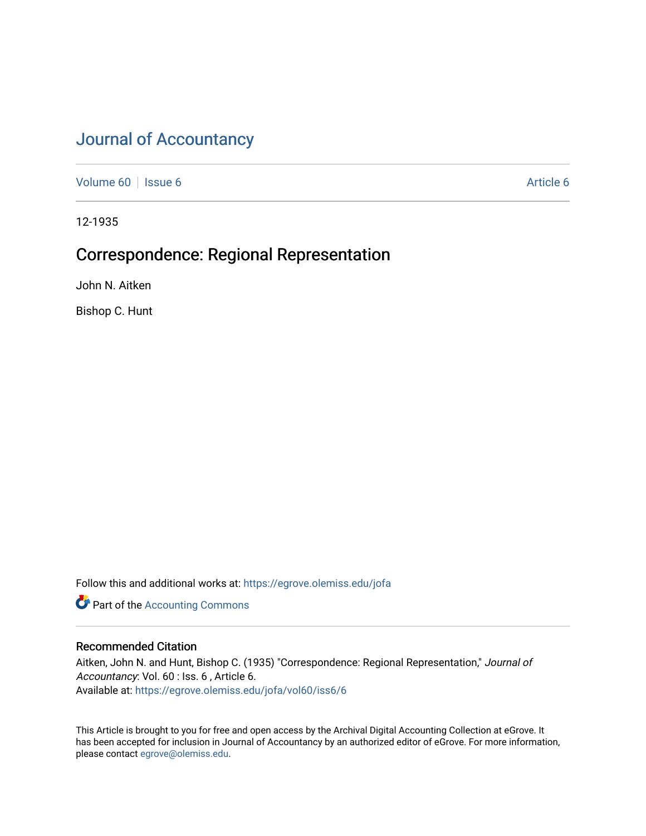# [Journal of Accountancy](https://egrove.olemiss.edu/jofa)

[Volume 60](https://egrove.olemiss.edu/jofa/vol60) | [Issue 6](https://egrove.olemiss.edu/jofa/vol60/iss6) [Article 6](https://egrove.olemiss.edu/jofa/vol60/iss6/6) Article 6 Article 6 Article 6 Article 6 Article 6 Article 6 Article 6 Article 6

12-1935

## Correspondence: Regional Representation

John N. Aitken

Bishop C. Hunt

Follow this and additional works at: [https://egrove.olemiss.edu/jofa](https://egrove.olemiss.edu/jofa?utm_source=egrove.olemiss.edu%2Fjofa%2Fvol60%2Fiss6%2F6&utm_medium=PDF&utm_campaign=PDFCoverPages) 

**Part of the [Accounting Commons](http://network.bepress.com/hgg/discipline/625?utm_source=egrove.olemiss.edu%2Fjofa%2Fvol60%2Fiss6%2F6&utm_medium=PDF&utm_campaign=PDFCoverPages)** 

### Recommended Citation

Aitken, John N. and Hunt, Bishop C. (1935) "Correspondence: Regional Representation," Journal of Accountancy: Vol. 60 : Iss. 6 , Article 6. Available at: [https://egrove.olemiss.edu/jofa/vol60/iss6/6](https://egrove.olemiss.edu/jofa/vol60/iss6/6?utm_source=egrove.olemiss.edu%2Fjofa%2Fvol60%2Fiss6%2F6&utm_medium=PDF&utm_campaign=PDFCoverPages) 

This Article is brought to you for free and open access by the Archival Digital Accounting Collection at eGrove. It has been accepted for inclusion in Journal of Accountancy by an authorized editor of eGrove. For more information, please contact [egrove@olemiss.edu.](mailto:egrove@olemiss.edu)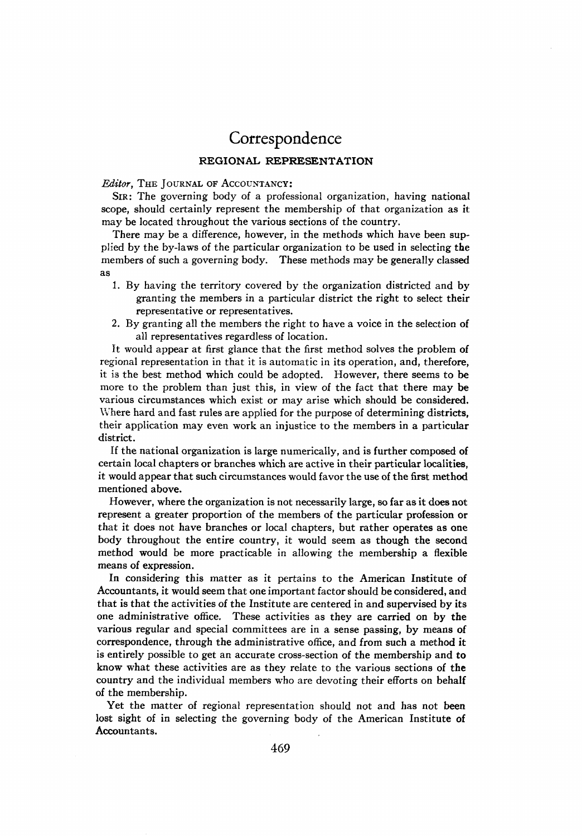## Correspondence

### **REGIONAL REPRESENTATION**

#### *Editor,* The Journal of Accountancy:

Sir: The governing body of a professional organization, having national scope, should certainly represent the membership of that organization as it may be located throughout the various sections of the country.

There may be a difference, however, in the methods which have been supplied by the by-laws of the particular organization to be used in selecting the members of such a governing body. These methods may be generally classed as

- 1. By having the territory covered by the organization districted and by granting the members in a particular district the right to select their representative or representatives.
- 2. By granting all the members the right to have a voice in the selection of all representatives regardless of location.

It would appear at first glance that the first method solves the problem of regional representation in that it is automatic in its operation, and, therefore, it is the best method which could be adopted. However, there seems to be more to the problem than just this, in view of the fact that there may be various circumstances which exist or may arise which should be considered. Where hard and fast rules are applied for the purpose of determining districts, their application may even work an injustice to the members in a particular district.

If the national organization is large numerically, and is further composed of certain local chapters or branches which are active in their particular localities, it would appearthat such circumstances would favorthe use of the first method mentioned above.

However, where the organization is not necessarily large, so far as it does not represent a greater proportion of the members of the particular profession or that it does not have branches or local chapters, but rather operates as one body throughout the entire country, it would seem as though the second method would be more practicable in allowing the membership a flexible means of expression.

In considering this matter as it pertains to the American Institute of Accountants, it would seem that one important factorshould be considered, and that is that the activities of the Institute are centered in and supervised by its one administrative office. These activities as they are carried on by the various regular and special committees are in a sense passing, by means of correspondence, through the administrative office, and from such a method it is entirely possible to get an accurate cross-section of the membership and to know what these activities are as they relate to the various sections of the country and the individual members who are devoting their efforts on behalf of the membership.

Yet the matter of regional representation should not and has not been lost sight of in selecting the governing body of the American Institute of Accountants.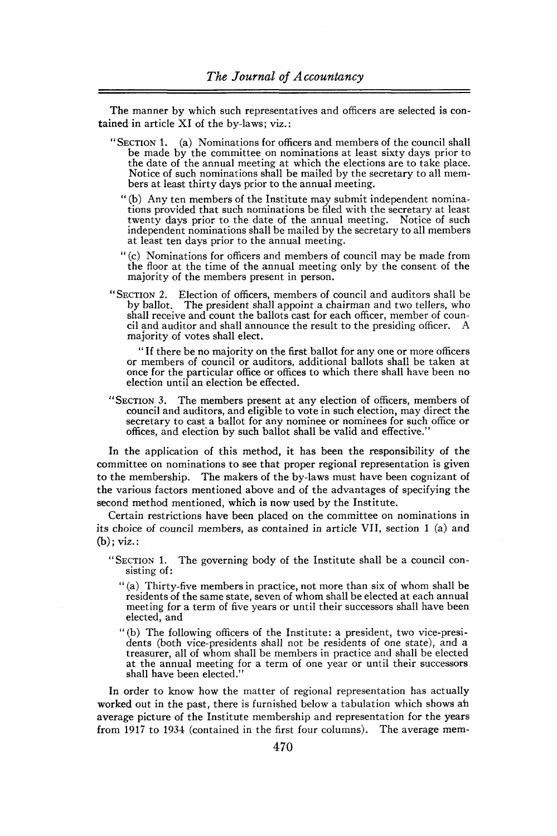The manner by which such representatives and officers are selected is contained in article XI of the by-laws; viz.:

- "Section 1. (a) Nominations for officers and members of the council shall be made by the committee on nominations at least sixty days prior to the date of the annual meeting at which the elections are to take place. Notice of such nominations shall be mailed by the secretary to all members at least thirty days prior to the annual meeting.
	- " (b) Any ten members of the Institute may submit independent nominations provided that such nominations be filed with the secretary at least twenty days prior to the date of the annual meeting. Notice of such independent nominations shall be mailed by the secretary to all members at least ten days prior to the annual meeting.
	- " (c) Nominations for officers and members of council may be made from the floor at the time of the annual meeting only by the consent of the majority of the members present in person.
- "Section 2. Election of officers, members of council and auditors shall be by ballot. The president shall appoint a chairman and two tellers, who shall receive and count the ballots cast for each officer, member of council and auditor and shall announce the result to the presiding officer. A majority of votes shall elect.

" If there be no majority on the first ballot for any one or more officers or members of council or auditors, additional ballots shall be taken at once for the particular office or offices to which there shall have been no election until an election be effected.

"Section 3. The members present at any election of officers, members of council and auditors, and eligible to vote in such election, may direct the secretary to cast a ballot for any nominee or nominees for such office or offices, and election by such ballot shall be valid and effective."

In the application of this method, it has been the responsibility of the committee on nominations to see that proper regional representation is given to the membership. The makers of the by-laws must have been cognizant of the various factors mentioned above and of the advantages of specifying the second method mentioned, which is now used by the Institute.

Certain restrictions have been placed on the committee on nominations in its choice of council members, as contained in article VII, section <sup>1</sup> (a) and (b); viz.:

- "Section 1. The governing body of the Institute shall be a council consisting of:
	- " (a) Thirty-five members in practice, not more than six of whom shall be residents of the same state, seven of whom shall be elected at each annual meeting for a term of five years or until their successors shall have been elected, and
	- "(b) The following officers of the Institute: a president, two vice-presidents (both vice-presidents shall not be residents of one state), and a treasurer, all of whom shall be members in practice and shall be elected at the annual meeting for a term of one year or until their successors shall have been elected."

In order to know how the matter of regional representation has actually worked out in the past, there is furnished below a tabulation which shows ah average picture of the Institute membership and representation for the years from 1917 to 1934 (contained in the first four columns). The average mem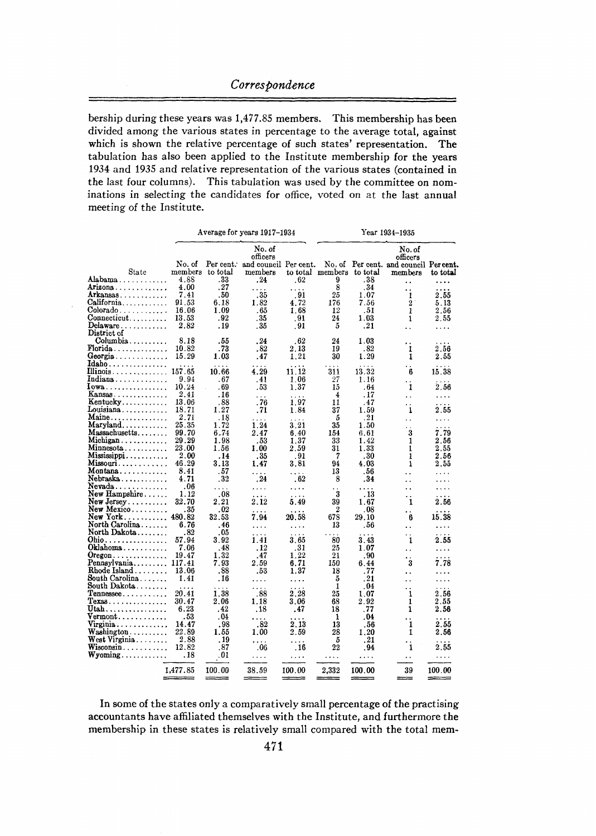bership during these years was 1,477.85 members. This membership has been divided among the various states in percentage to the average total, against which is shown the relative percentage of such states' representation. The tabulation has also been applied to the Institute membership for the years 1934 and 1935 and relative representation of the various states (contained in the last four columns). This tabulation was used by the committee on nominations in selecting the candidates for office, voted on at the last annual meeting of the Institute.

|                                                     |                   | Average for years 1917–1934                            |                                                        |                      | Year 1934-1935            |        |                                                                         |               |
|-----------------------------------------------------|-------------------|--------------------------------------------------------|--------------------------------------------------------|----------------------|---------------------------|--------|-------------------------------------------------------------------------|---------------|
| State                                               | No. of<br>members | $\operatorname*{Per}\operatorname*{cent}.$<br>to total | No. of<br>officers<br>and council Per cent.<br>members |                      | to total members to total |        | No. of<br>officers<br>No. of Per cent. and council Per cent.<br>members | to total      |
| Alabama                                             | 4.88              | .33                                                    | . 24                                                   | .62                  | 9                         | .38    |                                                                         | .             |
| Arizona                                             | 4.00              | .27                                                    | .                                                      | .                    | 8                         | .34    | . .                                                                     |               |
| Arkansas                                            | 7.41              | . 50                                                   | . 35                                                   | .91                  | 25                        | 1.07   | 1                                                                       | 2.55          |
| California                                          | 91.53             | 6.18                                                   | 1.82                                                   | 4.72                 | 176                       | 7.56   | $\overline{2}$                                                          | 5.13          |
|                                                     | 16.06             | 1.09                                                   | .65                                                    | 1.68                 | 12                        |        |                                                                         |               |
| Colorado                                            |                   | .92                                                    |                                                        |                      |                           | .51    | 1                                                                       | 2.56          |
| Connecticut                                         | 13.53             |                                                        | .35                                                    | . 91                 | $^{24}$                   | 1.03   | 1                                                                       | 2.55          |
| Delaware<br>District of                             | 2.82              | . 19                                                   | . 35                                                   | . 91                 | 5                         | .21    | . .                                                                     | .             |
| Columbia                                            | 8.18              | .55                                                    | . 24                                                   | . 62                 | 24                        | 1.03   | . .                                                                     |               |
| $\textbf{Florida} \dots \dots \dots \dots$          | 10.82             | . 73                                                   | .82                                                    | 2.13                 | 19                        | . 82   | 1                                                                       | $2.56\,$      |
| Georgia                                             | 15.29             | 1.03                                                   | . 47                                                   | 1.21                 | 30                        | 1.29   | 1                                                                       | 2.55          |
| $Idaho \ldots \ldots \ldots \ldots$                 |                   | $\ddots$                                               |                                                        |                      |                           |        |                                                                         |               |
| Illinois                                            | 157.65            | 10.66                                                  | 4.29                                                   | 11.12                | 311                       | 13.32  | 6                                                                       | 15.38         |
| Indiana                                             | 9.94              | .67                                                    | .41                                                    | 1.06                 | 27                        | 1.16   | . .                                                                     | $\ldots$      |
| $Iowa \ldots \ldots \ldots \ldots \ldots$           | 10.24             | . 69                                                   | . 53                                                   | 1.37                 | 15                        | . 64   | 1                                                                       | 2.56          |
| $Kansas \ldots \ldots \ldots$                       | 2.41              | . 16                                                   | $\cdots$                                               | .                    | 4                         | . 17   | $\ddotsc$                                                               | .             |
| $Kentucky \ldots \ldots \ldots$                     | 13.06             | . 88                                                   | .76                                                    | 1.97                 | 11                        | .47    |                                                                         | .             |
| $Louisiana \ldots \ldots \ldots$                    | 18.71             | 1.27                                                   | .71                                                    | 1.84                 | 37                        | 159    | 1                                                                       | 2.55          |
| $Maine \ldots \ldots \ldots$                        | 2.71              | .18                                                    |                                                        |                      | 5                         | .21    |                                                                         | .             |
| $Maryland \ldots \ldots \ldots$                     | 25.35             | 1.72                                                   | $\cdots$<br>1.24                                       | 3.21                 | 35                        | 1.50   | . .                                                                     |               |
| Massachusetts                                       | 99.70             | 6.74                                                   | 2.47                                                   | 6.40                 | 154                       | 6.61   | 3                                                                       | 7.79          |
| Michigan                                            | 29.29             | 1.98                                                   |                                                        |                      |                           | 1.42   | 1                                                                       |               |
|                                                     |                   |                                                        | .53                                                    | 1.37                 | 33                        |        |                                                                         | $_{\rm 2.56}$ |
| Minnesota                                           | 23.00             | 1.56                                                   | 1.00                                                   | 2.59                 | 31                        | 1.33   | 1                                                                       | 2.55          |
| $Mississippi \ldots \ldots \ldots$                  | 2.00              | . 14                                                   | .35                                                    | . 91                 | 7                         | . 30   | 1                                                                       | 2.56          |
| Missouri                                            | 46.29             | 3.13                                                   | 1.47                                                   | 3.81                 | 94                        | 4.03   | 1                                                                       | 2.55          |
| Montana                                             | 8.41              | .57                                                    | .                                                      | .                    | 13                        | .56    | . .                                                                     | .             |
| Nebraska                                            | 4.71              | .32                                                    | .24                                                    | .62                  | 8                         | . 34   | $\ddot{\phantom{a}}$                                                    |               |
| Nevada                                              | .06               | .                                                      | .                                                      | .                    |                           | .      | $\ddot{\phantom{a}}$                                                    | .             |
| $New$ Hampshire                                     | 1.12              | .08                                                    | $\ddotsc$                                              | $\sim$ $\sim$ $\sim$ | $\ddot{\mathbf{3}}$       | . 13   | . .                                                                     | .             |
| $New Jersey$                                        | 32.70             | 2.21                                                   | 2.12                                                   | 5.49                 | 39                        | 1.67   | 1                                                                       | 2.56          |
| New Mexico                                          | . 35              | .02                                                    | $\cdots$                                               |                      | $\boldsymbol{2}$          | .08    | . .                                                                     |               |
| New York                                            | 480.82            | 32.53                                                  | 7.94                                                   | 20.58                | 678                       | 29.10  | 6                                                                       | 15.38         |
| North Carolina                                      | 6.76              | .46                                                    | .                                                      | .                    | 13                        | .56    | . .                                                                     | .             |
| North Dakota                                        | . 82              | .05                                                    | .                                                      |                      |                           |        |                                                                         |               |
| Ohio.                                               | 57.94             | 3.92                                                   | 1.41                                                   | 3.65                 | 80                        | 3.43   | 1                                                                       | 2.55          |
| $Ok$ lahoma                                         | 7.06              | . 48                                                   | . 12                                                   | . 31                 | 25                        | 1.07   |                                                                         |               |
| $O$ regon $\ldots \ldots \ldots \ldots$             | 19.47             | 1.32                                                   | .47                                                    | 1.22                 | 21                        | .90    | $\sim$                                                                  | .             |
|                                                     | 117.41            | 7.93                                                   | 2.59                                                   | 6.71                 |                           |        | 3                                                                       | .             |
| Pennsylvania                                        |                   |                                                        |                                                        |                      | 150                       | 6.44   |                                                                         | 7.78          |
| $\text{Rhode Island} \dots \dots$                   | 13.06             | .88                                                    | .53                                                    | 1.37                 | 18                        | .77    | . .                                                                     |               |
| South Carolina                                      | 1.41              | .16                                                    | .                                                      | .                    | 5                         | . 21   | . .                                                                     | .             |
| South Dakota                                        |                   |                                                        | .                                                      |                      | 1                         | . 04   | . .                                                                     |               |
| $T$ ennessee                                        | 20.41             | 1.38                                                   | .88                                                    | 2.28                 | 25                        | 1.07   | 1                                                                       | 2.56          |
| ${\rm Tex}$ as $\ldots \ldots \ldots \ldots \ldots$ | 30.47             | 2.06                                                   | 1.18                                                   | 3.06                 | 68                        | 2.92   | 1                                                                       | 2.55          |
| Utah                                                | 6.23              | . 42                                                   | .18                                                    | .47                  | 18                        | .77    | 1                                                                       | $_{\rm 2.56}$ |
| $\verb Vermont $                                    | . 53              | .04                                                    | .                                                      |                      | 1                         | .04    | . .                                                                     |               |
| $V_{\text{irgina}} \dots \dots \dots \dots$         | 14.47             | . 98                                                   | .82                                                    | 2.13                 | 13                        | . 56   | 1                                                                       | 2.55          |
| $W$ ashington $\ldots \ldots \ldots$                | 22.89             | 1.55                                                   | 1.00                                                   | 2.59                 | 28                        | 1.20   | 1                                                                       | 2.56          |
| $\textbf{West Virginia} \dots \dots$                | 2.88              | . 19                                                   |                                                        |                      | 5                         | . 21   |                                                                         |               |
| $Wiscosin \ldots$                                   | 12.82             | .87                                                    | .06                                                    | . 16                 | $^{22}$                   | . 94   | 1                                                                       | 2.55          |
| $Wyoming \ldots \ldots \ldots$                      | . 18              | .01                                                    | .                                                      | .                    | .                         | .      | . .                                                                     | .             |
|                                                     | 1,477.85          | 100.00                                                 | 38.59                                                  | 100.00               | 2,332                     | 100.00 | 39                                                                      | 100.00        |
|                                                     |                   |                                                        |                                                        |                      |                           |        |                                                                         |               |

In some of the states only a comparatively small percentage of the practising accountants have affiliated themselves with the Institute, and furthermore the membership in these states is relatively small compared with the total mem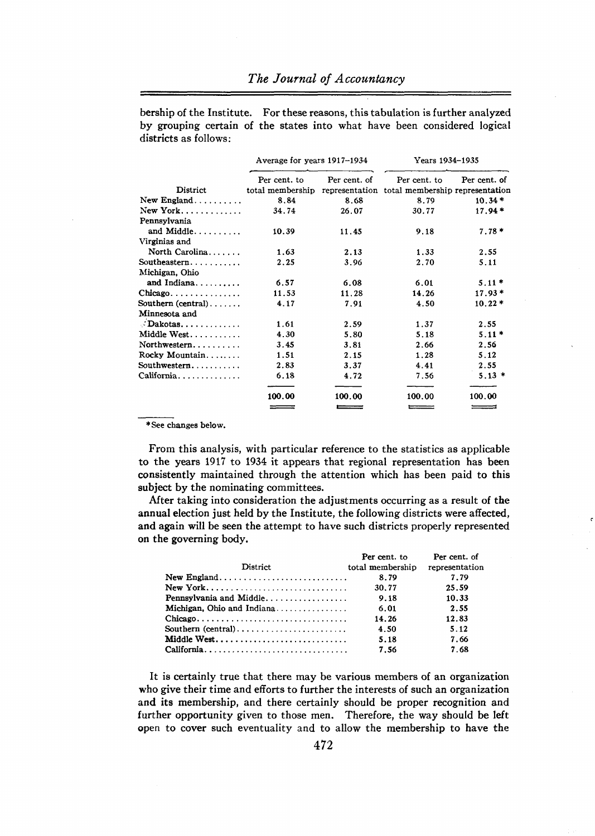bership of the Institute. For these reasons, this tabulation is further analyzed by grouping certain of the states into what have been considered logical districts as follows;

|                                           | Average for years 1917–1934                                     |              | Years 1934–1935 |              |  |
|-------------------------------------------|-----------------------------------------------------------------|--------------|-----------------|--------------|--|
|                                           | Per cent. to                                                    | Per cent. of | Per cent. to    | Per cent. of |  |
| District                                  | total membership representation total membership representation |              |                 |              |  |
| $New England \ldots \ldots \ldots$        | 8.84                                                            | 8.68         | 8.79            | $10.34*$     |  |
|                                           | 34.74                                                           | 26.07        | 30.77           | $17.94*$     |  |
| Pennsylvania                              |                                                                 |              |                 |              |  |
| and Middle                                | 10.39                                                           | 11.45        | 9.18            | $7.78*$      |  |
| Virginias and                             |                                                                 |              |                 |              |  |
| North Carolina                            | 1.63                                                            | 2.13         | 1.33            | 2.55         |  |
| Southeastern                              | 2.25                                                            | 3.96         | 2.70            | 5.11         |  |
| Michigan, Ohio                            |                                                                 |              |                 |              |  |
| and Indiana                               | 6.57                                                            | 6.08         | 6.01            | $5.11*$      |  |
| $Chicago \ldots \ldots \ldots \ldots$     | 11.53                                                           | 11.28        | 14.26           | $17.93*$     |  |
| Southern (central)                        | 4.17                                                            | 7.91         | 4.50            | $10.22*$     |  |
| Minnesota and                             |                                                                 |              |                 |              |  |
| $\therefore$ Dakotas                      | 1.61                                                            | 2.59         | 1.37            | 2.55         |  |
| Middle West                               | 4.30                                                            | 5.80         | 5.18            | $5.11*$      |  |
| Northwestern                              | 3.45                                                            | 3.81         | 2.66            | 2.56         |  |
| Rocky Mountain                            | 1.51                                                            | 2.15         | 1.28            | 5.12         |  |
| Southwestern                              | 2.83                                                            | 3.37         | 4.41            | 2.55         |  |
| $California. \ldots \ldots \ldots \ldots$ | 6.18                                                            | 4.72         | 7.56            | $5.13*$      |  |
|                                           | 100.00                                                          | 100.00       | 100.00          | 100.00       |  |
|                                           | $ -$                                                            | $=$          |                 |              |  |

\*See changes below.

From this analysis, with particular reference to the statistics as applicable to the years 1917 to 1934 it appears that regional representation has been consistently maintained through the attention which has been paid to this subject by the nominating committees.

After taking into consideration the adjustments occurring as a result of the annual election just held by the Institute, the following districts were affected, and again will be seen the attempt to have such districts properly represented on the governing body.

 $\vec{v}$ 

|                            | Per cent. to     | Per cent. of   |
|----------------------------|------------------|----------------|
| District                   | total membership | representation |
| New England                | 8.79             | 7.79           |
| New York                   | 30.77            | 25.59          |
| Pennsylvania and Middle    | 9.18             | 10.33          |
| Michigan. Ohio and Indiana | 6.01             | 2.55           |
|                            | 14.26            | 12.83          |
| Southern (central)         | 4.50             | 5.12           |
|                            | 5.18             | 7.66           |
| California                 | 7.56             | 7.68           |

It is certainly true that there may be various members of an organization who give their time and efforts to further the interests of such an organization and its membership, and there certainly should be proper recognition and further opportunity given to those men. Therefore, the way should be left open to cover such eventuality and to allow the membership to have the